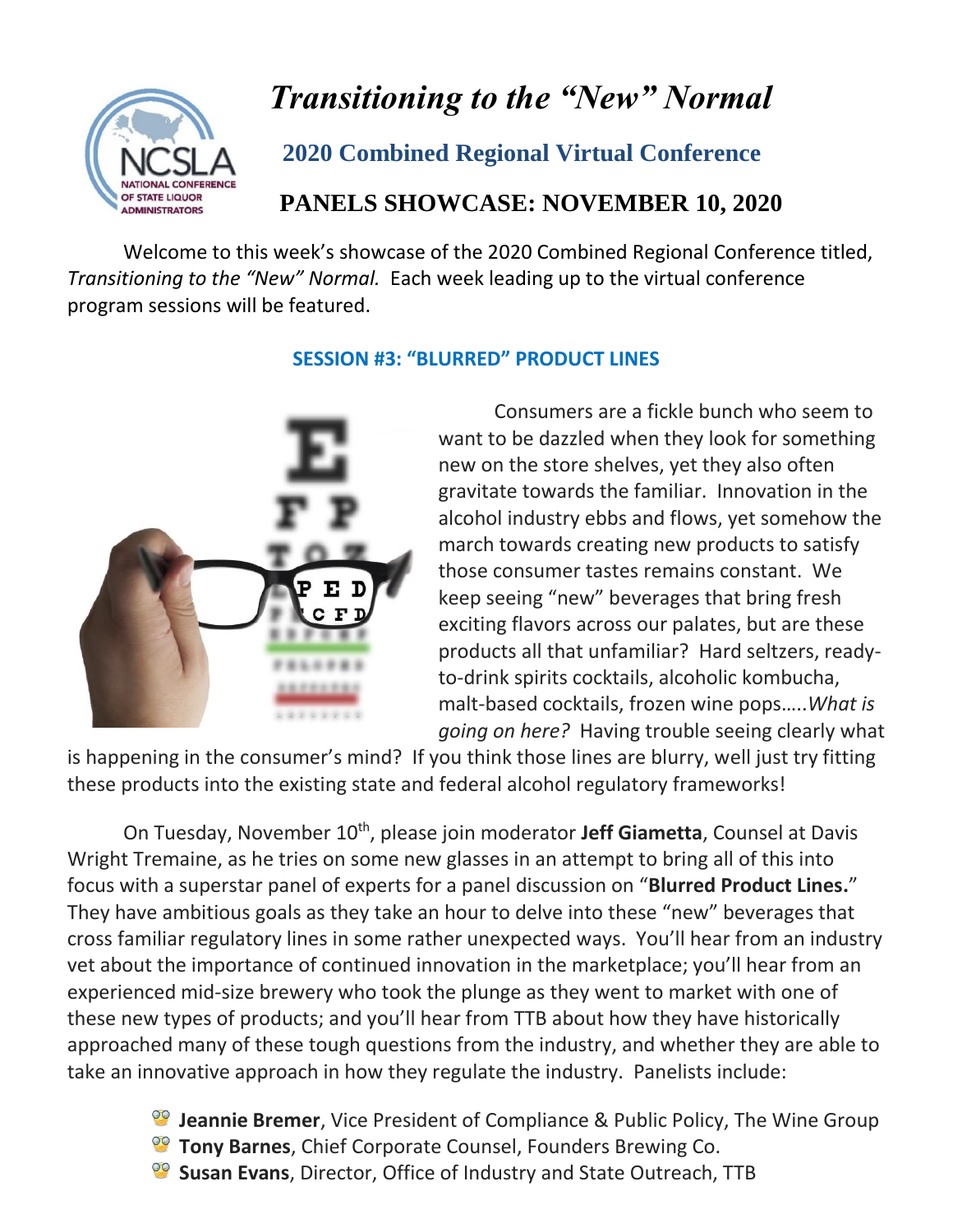

# *Transitioning to the "New" Normal*

### **2020 Combined Regional Virtual Conference**

## **PANELS SHOWCASE: NOVEMBER 10, 2020**

Welcome to this week's showcase of the 2020 Combined Regional Conference titled, *Transitioning to the "New" Normal.* Each week leading up to the virtual conference program sessions will be featured.



#### **SESSION #3: "BLURRED" PRODUCT LINES**

Consumers are a fickle bunch who seem to want to be dazzled when they look for something new on the store shelves, yet they also often gravitate towards the familiar. Innovation in the alcohol industry ebbs and flows, yet somehow the march towards creating new products to satisfy those consumer tastes remains constant. We keep seeing "new" beverages that bring fresh exciting flavors across our palates, but are these products all that unfamiliar? Hard seltzers, readyto-drink spirits cocktails, alcoholic kombucha, malt-based cocktails, frozen wine pops…..*What is going on here?* Having trouble seeing clearly what

is happening in the consumer's mind? If you think those lines are blurry, well just try fitting these products into the existing state and federal alcohol regulatory frameworks!

On Tuesday, November 10<sup>th</sup>, please join moderator Jeff Giametta, Counsel at Davis Wright Tremaine, as he tries on some new glasses in an attempt to bring all of this into focus with a superstar panel of experts for a panel discussion on "**Blurred Product Lines.**" They have ambitious goals as they take an hour to delve into these "new" beverages that cross familiar regulatory lines in some rather unexpected ways. You'll hear from an industry vet about the importance of continued innovation in the marketplace; you'll hear from an experienced mid-size brewery who took the plunge as they went to market with one of these new types of products; and you'll hear from TTB about how they have historically approached many of these tough questions from the industry, and whether they are able to take an innovative approach in how they regulate the industry. Panelists include:

- **Jeannie Bremer**, Vice President of Compliance & Public Policy, The Wine Group
- **Tony Barnes**, Chief Corporate Counsel, Founders Brewing Co.
- **Susan Evans**, Director, Office of Industry and State Outreach, TTB